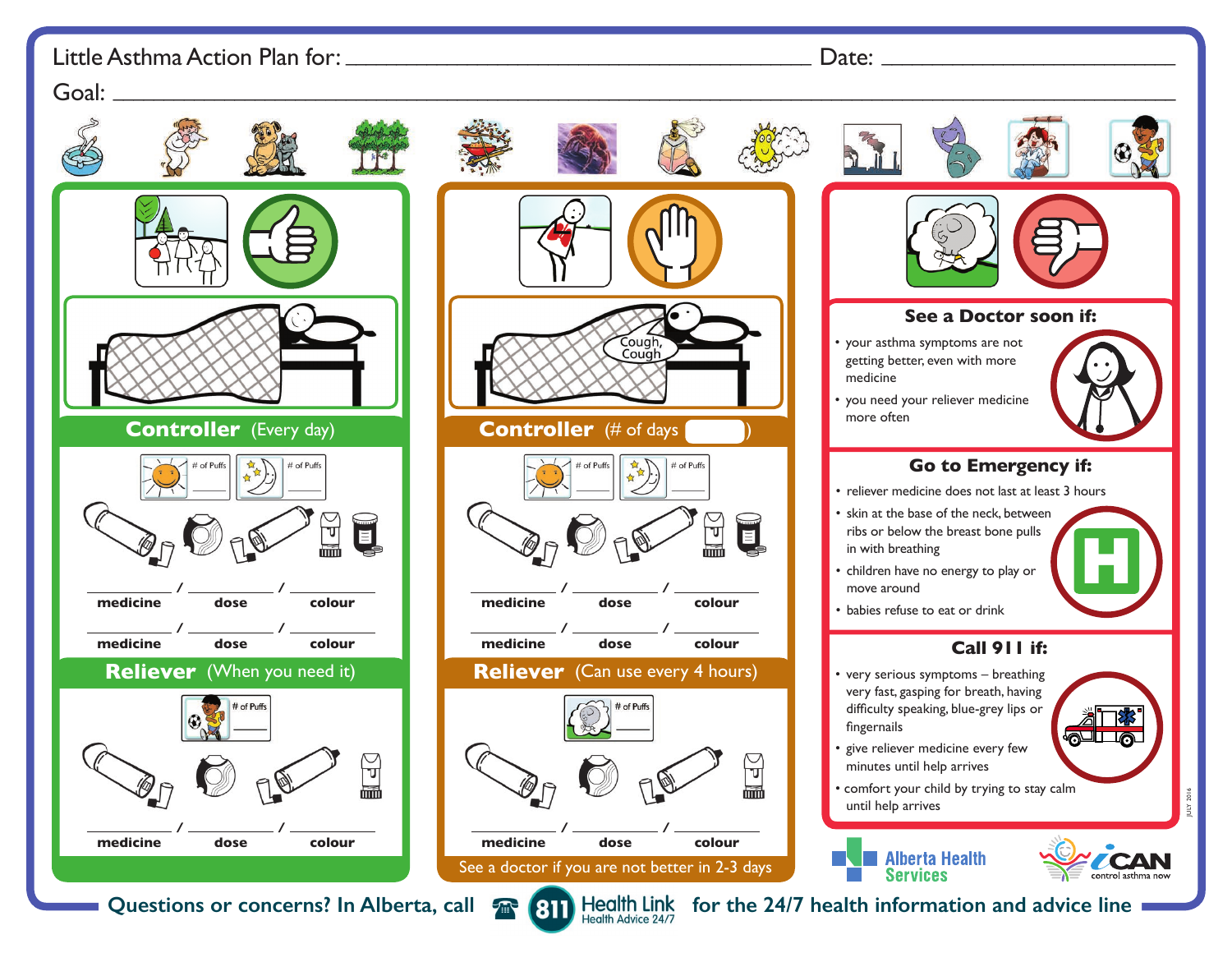## Little Asthma Action Plan for: \_\_\_\_\_\_\_\_\_\_\_\_\_\_\_\_\_\_\_\_\_\_\_\_\_\_\_\_\_\_\_\_\_\_\_\_\_\_\_\_\_\_\_\_\_\_ Date: \_\_\_\_\_\_\_\_\_\_\_\_\_\_\_\_\_\_\_\_\_\_\_\_\_\_\_\_\_

## Goal: \_\_\_\_\_\_\_\_\_\_\_\_\_\_\_\_\_\_\_\_\_\_\_\_\_\_\_\_\_\_\_\_\_\_\_\_\_\_\_\_\_\_\_\_\_\_\_\_\_\_\_\_\_\_\_\_\_\_\_\_\_\_\_\_\_\_\_\_\_\_\_\_\_\_\_\_\_\_\_\_\_\_\_\_\_\_\_\_\_\_\_\_\_\_\_\_\_\_\_\_\_\_\_\_\_ Coug Cough **Controller** (Every day) **Controller** (# of days # of Puffs  $#$  of Puffs  $\blacksquare$ **/ / / medicine dose colour medicine dose / / / medicine dose colour medicine dose Reliever** (When you need it) **Reliever** (Can use every 4 hours)  $#$  of Puffs  $\bar{\mathbb{U}}$ 諯 **/ / / medicine colour medicine dose dose** See a doctor if you are not better in 2-3 days

 **See a Doctor soon if:** • your asthma symptoms are not getting better, even with more medicine • you need your reliever medicine more often **Go to Emergency if:** • reliever medicine does not last at least 3 hours • skin at the base of the neck, between ribs or below the breast bone pulls H in with breathing • children have no energy to play or move around • babies refuse to eat or drink **Call 911 if:** • very serious symptoms – breathing very fast, gasping for breath, having difficulty speaking, blue-grey lips or fingernails வடங • give reliever medicine every few minutes until help arrives • comfort your child by trying to stay calm JULY 2016 until help arrives





Questions or concerns? In Alberta, call **For 811** Health Link for the 24/7 health information and advice line

**/**

**/**

**/**

 $#$  of Puffs

**colour**

**colour**

ับ

扁

**colour**

 $\blacksquare$